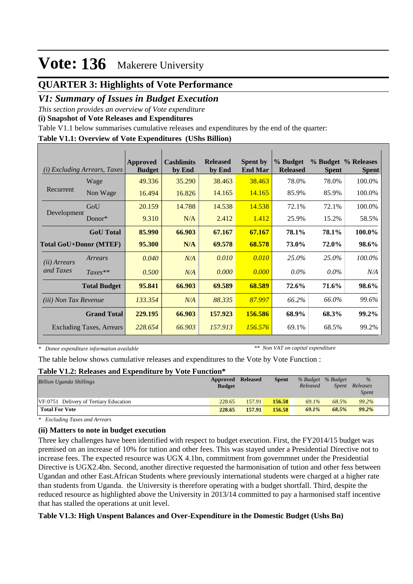## **QUARTER 3: Highlights of Vote Performance**

## *V1: Summary of Issues in Budget Execution*

*This section provides an overview of Vote expenditure* 

**(i) Snapshot of Vote Releases and Expenditures**

Table V1.1 below summarises cumulative releases and expenditures by the end of the quarter:

### **Table V1.1: Overview of Vote Expenditures (UShs Billion)**

| (i)                          | <i>Excluding Arrears, Taxes</i> | Approved<br><b>Budget</b> | <b>Cashlimits</b><br>by End | <b>Released</b><br>by End | <b>Spent by</b><br><b>End Mar</b> | % Budget<br><b>Released</b> | <b>Spent</b> | % Budget % Releases<br><b>Spent</b> |
|------------------------------|---------------------------------|---------------------------|-----------------------------|---------------------------|-----------------------------------|-----------------------------|--------------|-------------------------------------|
|                              | Wage                            | 49.336                    | 35.290                      | 38.463                    | 38.463                            | 78.0%                       | 78.0%        | 100.0%                              |
| Recurrent                    | Non Wage                        | 16.494                    | 16.826                      | 14.165                    | 14.165                            | 85.9%                       | 85.9%        | 100.0%                              |
|                              | GoU                             | 20.159                    | 14.788                      | 14.538                    | 14.538                            | 72.1%                       | 72.1%        | 100.0%                              |
| Development                  | Donor $*$                       | 9.310                     | N/A                         | 2.412                     | 1.412                             | 25.9%                       | 15.2%        | 58.5%                               |
|                              | <b>GoU</b> Total                | 85.990                    | 66.903                      | 67.167                    | 67.167                            | 78.1%                       | 78.1%        | 100.0%                              |
|                              | <b>Total GoU+Donor (MTEF)</b>   | 95.300                    | N/A                         | 69.578                    | 68.578                            | 73.0%                       | 72.0%        | 98.6%                               |
| ( <i>ii</i> ) Arrears        | Arrears                         | 0.040                     | N/A                         | 0.010                     | 0.010                             | 25.0%                       | 25.0%        | 100.0%                              |
| and Taxes                    | $Taxes**$                       | 0.500                     | N/A                         | 0.000                     | 0.000                             | $0.0\%$                     | $0.0\%$      | N/A                                 |
|                              | <b>Total Budget</b>             | 95.841                    | 66.903                      | 69.589                    | 68.589                            | 72.6%                       | 71.6%        | 98.6%                               |
| <i>(iii)</i> Non Tax Revenue |                                 | 133.354                   | N/A                         | 88.335                    | 87.997                            | 66.2%                       | 66.0%        | 99.6%                               |
|                              | <b>Grand Total</b>              | 229.195                   | 66.903                      | 157.923                   | 156.586                           | 68.9%                       | 68.3%        | 99.2%                               |
|                              | <b>Excluding Taxes, Arrears</b> | 228.654                   | 66.903                      | 157.913                   | 156.576                           | 69.1%                       | 68.5%        | 99.2%                               |

*\* Donor expenditure information available*

*\*\* Non VAT on capital expenditure*

The table below shows cumulative releases and expenditures to the Vote by Vote Function :

#### **Table V1.2: Releases and Expenditure by Vote Function\***

| <b>Billion Uganda Shillings</b>        | Approved Released<br><b>Budget</b> |        | <b>Spent</b> | % Budget % Budget<br>Released | Spent | $\%$<br>Releases<br><i>Spent</i> |
|----------------------------------------|------------------------------------|--------|--------------|-------------------------------|-------|----------------------------------|
| VF:0751 Delivery of Tertiary Education | 228.65                             | 157.91 | 156.58       | 69.1%                         | 68.5% | 99.2%                            |
| <b>Total For Vote</b>                  | 228.65                             | 157.91 | 156.58       | 69.1%                         | 68.5% | 99.2%                            |

*\* Excluding Taxes and Arrears*

### **(ii) Matters to note in budget execution**

Three key challenges have been identified with respect to budget execution. First, the FY2014/15 budget was premised on an increase of 10% for tution and other fees. This was stayed under a Presidential Directive not to increase fees. The expected resource was UGX 4.1bn, commitment from governmnet under the Presidential Directive is UGX2.4bn. Second, another directive requested the harmonisation of tution and other fess between Ugandan and other East.African Students where previously international students were charged at a higher rate than students from Uganda. the University is therefore operating with a budget shortfall. Third, despite the reduced resource as highlighted above the University in 2013/14 committed to pay a harmonised staff incentive that has stalled the operations at unit level.

### **Table V1.3: High Unspent Balances and Over-Expenditure in the Domestic Budget (Ushs Bn)**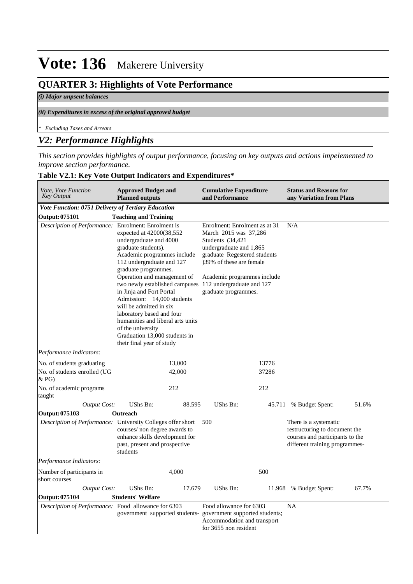## **QUARTER 3: Highlights of Vote Performance**

### *(i) Major unpsent balances*

#### *(ii) Expenditures in excess of the original approved budget*

*\* Excluding Taxes and Arrears*

## *V2: Performance Highlights*

*This section provides highlights of output performance, focusing on key outputs and actions impelemented to improve section performance.*

### **Table V2.1: Key Vote Output Indicators and Expenditures\***

| Vote, Vote Function<br><b>Key Output</b>                    | <b>Approved Budget and</b><br><b>Planned outputs</b>                                                                                                                                                                                                                                                                                                                                                                                                                                                |        | <b>Cumulative Expenditure</b><br>and Performance                                                                                                                                                                          |        | <b>Status and Reasons for</b><br>any Variation from Plans                                                                   |       |
|-------------------------------------------------------------|-----------------------------------------------------------------------------------------------------------------------------------------------------------------------------------------------------------------------------------------------------------------------------------------------------------------------------------------------------------------------------------------------------------------------------------------------------------------------------------------------------|--------|---------------------------------------------------------------------------------------------------------------------------------------------------------------------------------------------------------------------------|--------|-----------------------------------------------------------------------------------------------------------------------------|-------|
| <b>Vote Function: 0751 Delivery of Tertiary Education</b>   |                                                                                                                                                                                                                                                                                                                                                                                                                                                                                                     |        |                                                                                                                                                                                                                           |        |                                                                                                                             |       |
| <b>Output: 075101</b>                                       | <b>Teaching and Training</b>                                                                                                                                                                                                                                                                                                                                                                                                                                                                        |        |                                                                                                                                                                                                                           |        |                                                                                                                             |       |
| Description of Performance: Enrolment: Enrolment is         | expected at 42000(38,552)<br>undergraduate and 4000<br>graduate students).<br>Academic programmes include<br>112 undergraduate and 127<br>graduate programmes.<br>Operation and management of<br>two newly established campuses 112 undergraduate and 127<br>in Jinja and Fort Portal<br>Admission: 14,000 students<br>will be admitted in six<br>laboratory based and four<br>humanities and liberal arts units<br>of the university<br>Graduation 13,000 students in<br>their final year of study |        | Enrolment: Enrolment as at 31<br>March 2015 was 37,286<br>Students (34,421)<br>undergraduate and 1,865<br>graduate Regestered students<br>139% of these are female<br>Academic programmes include<br>graduate programmes. |        | N/A                                                                                                                         |       |
| Performance Indicators:                                     |                                                                                                                                                                                                                                                                                                                                                                                                                                                                                                     |        |                                                                                                                                                                                                                           |        |                                                                                                                             |       |
| No. of students graduating                                  |                                                                                                                                                                                                                                                                                                                                                                                                                                                                                                     | 13,000 |                                                                                                                                                                                                                           | 13776  |                                                                                                                             |       |
| No. of students enrolled (UG<br>&P <sub>G</sub>             |                                                                                                                                                                                                                                                                                                                                                                                                                                                                                                     | 42,000 |                                                                                                                                                                                                                           | 37286  |                                                                                                                             |       |
| No. of academic programs<br>taught                          |                                                                                                                                                                                                                                                                                                                                                                                                                                                                                                     | 212    |                                                                                                                                                                                                                           | 212    |                                                                                                                             |       |
| <b>Output Cost:</b>                                         | UShs Bn:                                                                                                                                                                                                                                                                                                                                                                                                                                                                                            | 88.595 | UShs Bn:                                                                                                                                                                                                                  | 45.711 | % Budget Spent:                                                                                                             | 51.6% |
| Output: 075103                                              | Outreach                                                                                                                                                                                                                                                                                                                                                                                                                                                                                            |        |                                                                                                                                                                                                                           |        |                                                                                                                             |       |
| Description of Performance: University Colleges offer short | courses/ non degree awards to<br>enhance skills development for<br>past, present and prospective<br>students                                                                                                                                                                                                                                                                                                                                                                                        |        | 500                                                                                                                                                                                                                       |        | There is a systematic<br>restructuring to document the<br>courses and participants to the<br>different training programmes- |       |
| Performance Indicators:                                     |                                                                                                                                                                                                                                                                                                                                                                                                                                                                                                     |        |                                                                                                                                                                                                                           |        |                                                                                                                             |       |
| Number of participants in<br>short courses                  |                                                                                                                                                                                                                                                                                                                                                                                                                                                                                                     | 4,000  |                                                                                                                                                                                                                           | 500    |                                                                                                                             |       |
| <b>Output Cost:</b>                                         | UShs Bn:                                                                                                                                                                                                                                                                                                                                                                                                                                                                                            | 17.679 | UShs Bn:                                                                                                                                                                                                                  |        | 11.968 % Budget Spent:                                                                                                      | 67.7% |
| Output: 075104                                              | <b>Students' Welfare</b>                                                                                                                                                                                                                                                                                                                                                                                                                                                                            |        |                                                                                                                                                                                                                           |        |                                                                                                                             |       |
| Description of Performance: Food allowance for 6303         | government supported students- government supported students;                                                                                                                                                                                                                                                                                                                                                                                                                                       |        | Food allowance for 6303<br>Accommodation and transport<br>for 3655 non resident                                                                                                                                           |        | <b>NA</b>                                                                                                                   |       |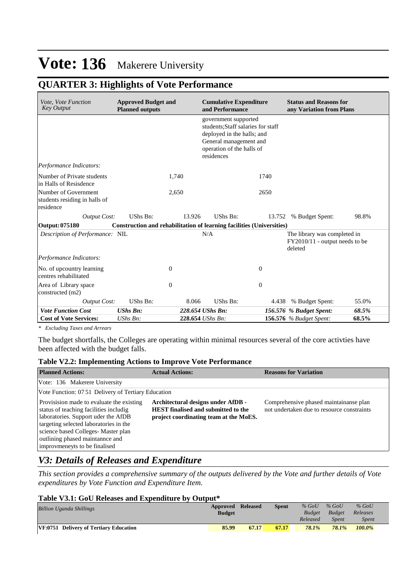## **QUARTER 3: Highlights of Vote Performance**

| Vote, Vote Function<br><b>Key Output</b>                           | <b>Approved Budget and</b><br><b>Planned outputs</b>                  | <b>Cumulative Expenditure</b><br>and Performance                                                                                                              |                  |              | <b>Status and Reasons for</b><br>any Variation from Plans                 |       |
|--------------------------------------------------------------------|-----------------------------------------------------------------------|---------------------------------------------------------------------------------------------------------------------------------------------------------------|------------------|--------------|---------------------------------------------------------------------------|-------|
|                                                                    |                                                                       | government supported<br>students; Staff salaries for staff<br>deployed in the halls; and<br>General management and<br>operation of the halls of<br>residences |                  |              |                                                                           |       |
| Performance Indicators:                                            |                                                                       |                                                                                                                                                               |                  |              |                                                                           |       |
| Number of Private students<br>in Halls of Resisdence               |                                                                       | 1,740                                                                                                                                                         |                  | 1740         |                                                                           |       |
| Number of Government<br>students residing in halls of<br>residence |                                                                       | 2,650                                                                                                                                                         |                  | 2650         |                                                                           |       |
| <b>Output Cost:</b>                                                | UShs Bn:                                                              | 13.926                                                                                                                                                        | UShs Bn:         | 13.752       | % Budget Spent:                                                           | 98.8% |
| Output: 075180                                                     | Construction and rehabilitation of learning facilities (Universities) |                                                                                                                                                               |                  |              |                                                                           |       |
| Description of Performance: NIL                                    |                                                                       |                                                                                                                                                               | N/A              |              | The library was completed in<br>FY2010/11 - output needs to be<br>deleted |       |
| Performance Indicators:                                            |                                                                       |                                                                                                                                                               |                  |              |                                                                           |       |
| No. of upcountry learning<br>centres rehabilitated                 | $\overline{0}$                                                        |                                                                                                                                                               |                  | $\Omega$     |                                                                           |       |
| Area of Library space<br>constructed (m2)                          | $\overline{0}$                                                        |                                                                                                                                                               |                  | $\mathbf{0}$ |                                                                           |       |
| <b>Output Cost:</b>                                                | UShs Bn:                                                              | 8.066                                                                                                                                                         | UShs Bn:         | 4.438        | % Budget Spent:                                                           | 55.0% |
| <b>Vote Function Cost</b>                                          | <b>UShs Bn:</b>                                                       |                                                                                                                                                               | 228.654 UShs Bn: |              | 156.576 % Budget Spent:                                                   | 68.5% |
| <b>Cost of Vote Services:</b>                                      | UShs Bn:                                                              |                                                                                                                                                               | 228.654 UShs Bn: |              | <b>156.576</b> % Budget Spent:                                            | 68.5% |

*\* Excluding Taxes and Arrears*

The budget shortfalls, the Colleges are operating within minimal resources several of the core activties have been affected with the budget falls.

### **Table V2.2: Implementing Actions to Improve Vote Performance**

| <b>Planned Actions:</b>                                                                                                                                                                                                                                                        | <b>Actual Actions:</b>                                                                                                     | <b>Reasons for Variation</b>                                                         |
|--------------------------------------------------------------------------------------------------------------------------------------------------------------------------------------------------------------------------------------------------------------------------------|----------------------------------------------------------------------------------------------------------------------------|--------------------------------------------------------------------------------------|
| Vote: 136 Makerere University                                                                                                                                                                                                                                                  |                                                                                                                            |                                                                                      |
| Vote Function: 07.51 Delivery of Tertiary Education                                                                                                                                                                                                                            |                                                                                                                            |                                                                                      |
| Provisision made to evaluate the existing<br>status of teaching facilities includig<br>laboratories. Support uder the AfDB<br>targeting selected laboratories in the<br>science based Colleges-Master plan<br>outlining phased maintannce and<br>improvmeneyts to be finalised | Architectural designs under AfDB -<br><b>HEST</b> finalised and submitted to the<br>project coordinating team at the MoES. | Comprehensive phased maintainanse plan<br>not undertaken due to resource constraints |

## *V3: Details of Releases and Expenditure*

*This section provides a comprehensive summary of the outputs delivered by the Vote and further details of Vote expenditures by Vote Function and Expenditure Item.*

### **Table V3.1: GoU Releases and Expenditure by Output\***

| <b>Billion Uganda Shillings</b>        | <b>Approved Released</b><br><b>Budget</b> |       | <b>Spent</b> | $%$ GoU<br><b>Budget</b> | $%$ GoU<br><b>Budget</b> | $%$ GoU<br>Releases |
|----------------------------------------|-------------------------------------------|-------|--------------|--------------------------|--------------------------|---------------------|
|                                        |                                           |       |              | Released                 | <b>Spent</b>             | Spent               |
| VF:0751 Delivery of Tertiary Education | 85.99                                     | 67.17 | 67.17        | 78.1%                    | 78.1%                    | 100.0%              |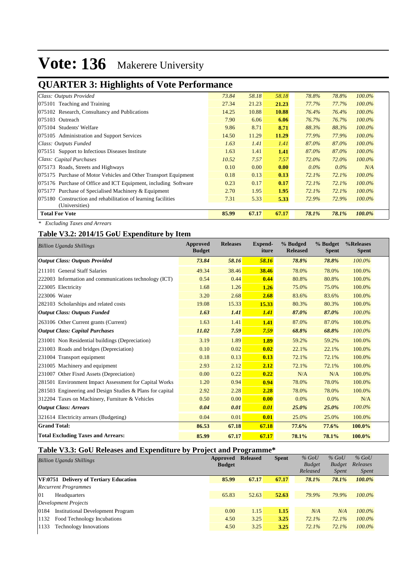## **QUARTER 3: Highlights of Vote Performance**

| ັ                                                               |       |       |       |         |         |           |
|-----------------------------------------------------------------|-------|-------|-------|---------|---------|-----------|
| Class: Outputs Provided                                         | 73.84 | 58.18 | 58.18 | 78.8%   | 78.8%   | $100.0\%$ |
| 075101 Teaching and Training                                    | 27.34 | 21.23 | 21.23 | 77.7%   | 77.7%   | $100.0\%$ |
| 075102 Research, Consultancy and Publications                   | 14.25 | 10.88 | 10.88 | 76.4%   | 76.4%   | $100.0\%$ |
| 075103 Outreach                                                 | 7.90  | 6.06  | 6.06  | 76.7%   | 76.7%   | $100.0\%$ |
| 075104 Students' Welfare                                        | 9.86  | 8.71  | 8.71  | 88.3%   | 88.3%   | 100.0%    |
| 075105 Administration and Support Services                      | 14.50 | 11.29 | 11.29 | 77.9%   | 77.9%   | 100.0%    |
| Class: Outputs Funded                                           | 1.63  | 1.41  | 1.41  | 87.0%   | 87.0%   | $100.0\%$ |
| 075151 Support to Infectious Diseases Institute                 | 1.63  | 1.41  | 1.41  | 87.0%   | 87.0%   | 100.0%    |
| Class: Capital Purchases                                        | 10.52 | 7.57  | 7.57  | 72.0%   | 72.0%   | $100.0\%$ |
| 075173 Roads, Streets and Highways                              | 0.10  | 0.00  | 0.00  | $0.0\%$ | $0.0\%$ | N/A       |
| 075175 Purchase of Motor Vehicles and Other Transport Equipment | 0.18  | 0.13  | 0.13  | 72.1%   | 72.1%   | $100.0\%$ |
| 075176 Purchase of Office and ICT Equipment, including Software | 0.23  | 0.17  | 0.17  | 72.1%   | 72.1%   | $100.0\%$ |
| 075177 Purchase of Specialised Machinery & Equipment            | 2.70  | 1.95  | 1.95  | 72.1%   | 72.1%   | 100.0%    |
| 075180 Construction and rehabilitation of learning facilities   | 7.31  | 5.33  | 5.33  | 72.9%   | 72.9%   | $100.0\%$ |
| (Universities)                                                  |       |       |       |         |         |           |
| <b>Total For Vote</b>                                           | 85.99 | 67.17 | 67.17 | 78.1%   | 78.1%   | 100.0%    |
|                                                                 |       |       |       |         |         |           |

*\* Excluding Taxes and Arrears*

## **Table V3.2: 2014/15 GoU Expenditure by Item**

| <b>Billion Uganda Shillings</b>                           | <b>Approved</b><br><b>Budget</b> | <b>Releases</b> | <b>Expend-</b><br>iture | % Budged<br><b>Released</b> | % Budget<br><b>Spent</b> | %Releases<br><b>Spent</b> |
|-----------------------------------------------------------|----------------------------------|-----------------|-------------------------|-----------------------------|--------------------------|---------------------------|
| <b>Output Class: Outputs Provided</b>                     | 73.84                            | 58.16           | 58.16                   | 78.8%                       | 78.8%                    | 100.0%                    |
| 211101 General Staff Salaries                             | 49.34                            | 38.46           | 38.46                   | 78.0%                       | 78.0%                    | 100.0%                    |
| 222003 Information and communications technology (ICT)    | 0.54                             | 0.44            | 0.44                    | 80.8%                       | 80.8%                    | 100.0%                    |
| 223005 Electricity                                        | 1.68                             | 1.26            | 1.26                    | 75.0%                       | 75.0%                    | 100.0%                    |
| 223006 Water                                              | 3.20                             | 2.68            | 2.68                    | 83.6%                       | 83.6%                    | 100.0%                    |
| 282103 Scholarships and related costs                     | 19.08                            | 15.33           | 15.33                   | 80.3%                       | 80.3%                    | 100.0%                    |
| <b>Output Class: Outputs Funded</b>                       | 1.63                             | 1.41            | 1.41                    | 87.0%                       | 87.0%                    | 100.0%                    |
| 263106 Other Current grants (Current)                     | 1.63                             | 1.41            | 1.41                    | 87.0%                       | 87.0%                    | 100.0%                    |
| <b>Output Class: Capital Purchases</b>                    | 11.02                            | 7.59            | 7.59                    | 68.8%                       | 68.8%                    | 100.0%                    |
| 231001 Non Residential buildings (Depreciation)           | 3.19                             | 1.89            | 1.89                    | 59.2%                       | 59.2%                    | 100.0%                    |
| 231003 Roads and bridges (Depreciation)                   | 0.10                             | 0.02            | 0.02                    | 22.1%                       | 22.1%                    | 100.0%                    |
| 231004 Transport equipment                                | 0.18                             | 0.13            | 0.13                    | 72.1%                       | 72.1%                    | 100.0%                    |
| 231005 Machinery and equipment                            | 2.93                             | 2.12            | 2.12                    | 72.1%                       | 72.1%                    | 100.0%                    |
| 231007 Other Fixed Assets (Depreciation)                  | 0.00                             | 0.22            | 0.22                    | N/A                         | N/A                      | 100.0%                    |
| 281501 Environment Impact Assessment for Capital Works    | 1.20                             | 0.94            | 0.94                    | 78.0%                       | 78.0%                    | 100.0%                    |
| 281503 Engineering and Design Studies & Plans for capital | 2.92                             | 2.28            | 2.28                    | 78.0%                       | 78.0%                    | 100.0%                    |
| 312204 Taxes on Machinery, Furniture & Vehicles           | 0.50                             | 0.00            | 0.00                    | 0.0%                        | 0.0%                     | N/A                       |
| <b>Output Class: Arrears</b>                              | 0.04                             | 0.01            | 0.01                    | 25.0%                       | 25.0%                    | 100.0%                    |
| 321614 Electricity arrears (Budgeting)                    | 0.04                             | 0.01            | 0.01                    | 25.0%                       | 25.0%                    | 100.0%                    |
| <b>Grand Total:</b>                                       | 86.53                            | 67.18           | 67.18                   | 77.6%                       | 77.6%                    | 100.0%                    |
| <b>Total Excluding Taxes and Arrears:</b>                 | 85.99                            | 67.17           | 67.17                   | 78.1%                       | 78.1%                    | 100.0%                    |

### **Table V3.3: GoU Releases and Expenditure by Project and Programme\***

| <b>Billion Uganda Shillings</b>                  | Approved<br><b>Budget</b> | <b>Released</b> | <b>Spent</b> | $%$ GoU<br><b>Budget</b><br>Released | $%$ GoU<br><b>Budget</b><br><i>Spent</i> | $%$ GoU<br>Releases<br><i>Spent</i> |
|--------------------------------------------------|---------------------------|-----------------|--------------|--------------------------------------|------------------------------------------|-------------------------------------|
| <b>VF:0751 Delivery of Tertiary Education</b>    | 85.99                     | 67.17           | 67.17        | 78.1%                                | 78.1%                                    | 100.0%                              |
| <b>Recurrent Programmes</b>                      |                           |                 |              |                                      |                                          |                                     |
| $\Omega$<br>Headquarters                         | 65.83                     | 52.63           | 52.63        | 79.9%                                | 79.9%                                    | $100.0\%$                           |
| Development Projects                             |                           |                 |              |                                      |                                          |                                     |
| <b>Institutional Development Program</b><br>0184 | 0.00                      | 1.15            | 1.15         | N/A                                  | N/A                                      | $100.0\%$                           |
| Food Technology Incubations<br>1132              | 4.50                      | 3.25            | 3.25         | 72.1%                                | 72.1%                                    | $100.0\%$                           |
| <b>Technology Innovations</b><br>1133            | 4.50                      | 3.25            | 3.25         | 72.1%                                | $72.1\%$                                 | $100.0\%$                           |